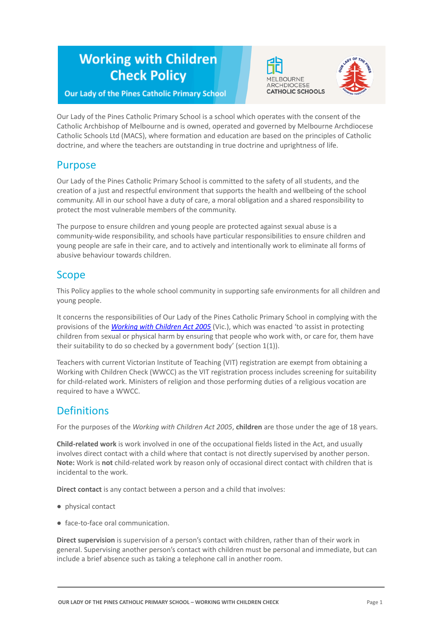# **Working with Children Check Policy**





### **Our Lady of the Pines Catholic Primary School**

Our Lady of the Pines Catholic Primary School is a school which operates with the consent of the Catholic Archbishop of Melbourne and is owned, operated and governed by Melbourne Archdiocese Catholic Schools Ltd (MACS), where formation and education are based on the principles of Catholic doctrine, and where the teachers are outstanding in true doctrine and uprightness of life.

# Purpose

Our Lady of the Pines Catholic Primary School is committed to the safety of all students, and the creation of a just and respectful environment that supports the health and wellbeing of the school community. All in our school have a duty of care, a moral obligation and a shared responsibility to protect the most vulnerable members of the community.

The purpose to ensure children and young people are protected against sexual abuse is a community-wide responsibility, and schools have particular responsibilities to ensure children and young people are safe in their care, and to actively and intentionally work to eliminate all forms of abusive behaviour towards children.

# Scope

This Policy applies to the whole school community in supporting safe environments for all children and young people.

It concerns the responsibilities of Our Lady of the Pines Catholic Primary School in complying with the provisions of the *[Working with Children Act 2005](https://www.legislation.vic.gov.au/as-made/acts/working-children-act-2005)* (Vic.), which was enacted 'to assist in protecting children from sexual or physical harm by ensuring that people who work with, or care for, them have their suitability to do so checked by a government body' (section 1(1)).

Teachers with current Victorian Institute of Teaching (VIT) registration are exempt from obtaining a Working with Children Check (WWCC) as the VIT registration process includes screening for suitability for child-related work. Ministers of religion and those performing duties of a religious vocation are required to have a WWCC.

# **Definitions**

For the purposes of the *Working with Children Act 2005*, **children** are those under the age of 18 years.

**Child-related work** is work involved in one of the occupational fields listed in the Act, and usually involves direct contact with a child where that contact is not directly supervised by another person. **Note:** Work is **not** child-related work by reason only of occasional direct contact with children that is incidental to the work.

**Direct contact** is any contact between a person and a child that involves:

- physical contact
- face-to-face oral communication.

**Direct supervision** is supervision of a person's contact with children, rather than of their work in general. Supervising another person's contact with children must be personal and immediate, but can include a brief absence such as taking a telephone call in another room.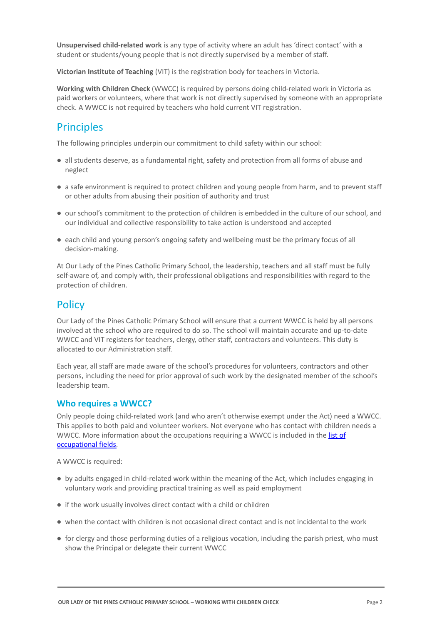**Unsupervised child-related work** is any type of activity where an adult has 'direct contact' with a student or students/young people that is not directly supervised by a member of staff.

**Victorian Institute of Teaching** (VIT) is the registration body for teachers in Victoria.

**Working with Children Check** (WWCC) is required by persons doing child-related work in Victoria as paid workers or volunteers, where that work is not directly supervised by someone with an appropriate check. A WWCC is not required by teachers who hold current VIT registration.

# **Principles**

The following principles underpin our commitment to child safety within our school:

- all students deserve, as a fundamental right, safety and protection from all forms of abuse and neglect
- a safe environment is required to protect children and young people from harm, and to prevent staff or other adults from abusing their position of authority and trust
- our school's commitment to the protection of children is embedded in the culture of our school, and our individual and collective responsibility to take action is understood and accepted
- each child and young person's ongoing safety and wellbeing must be the primary focus of all decision-making.

At Our Lady of the Pines Catholic Primary School, the leadership, teachers and all staff must be fully self-aware of, and comply with, their professional obligations and responsibilities with regard to the protection of children.

# **Policy**

Our Lady of the Pines Catholic Primary School will ensure that a current WWCC is held by all persons involved at the school who are required to do so. The school will maintain accurate and up-to-date WWCC and VIT registers for teachers, clergy, other staff, contractors and volunteers. This duty is allocated to our Administration staff.

Each year, all staff are made aware of the school's procedures for volunteers, contractors and other persons, including the need for prior approval of such work by the designated member of the school's leadership team.

#### **Who requires a WWCC?**

Only people doing child-related work (and who aren't otherwise exempt under the Act) need a WWCC. This applies to both paid and volunteer workers. Not everyone who has contact with children needs a WWCC. More information about the occupations requiring a WWCC is included in the [list of](https://www.workingwithchildren.vic.gov.au/about-the-check/resources/list-of-occupational-fields) [occupational fields.](https://www.workingwithchildren.vic.gov.au/about-the-check/resources/list-of-occupational-fields)

A WWCC is required:

- by adults engaged in child-related work within the meaning of the Act, which includes engaging in voluntary work and providing practical training as well as paid employment
- if the work usually involves direct contact with a child or children
- when the contact with children is not occasional direct contact and is not incidental to the work
- for clergy and those performing duties of a religious vocation, including the parish priest, who must show the Principal or delegate their current WWCC